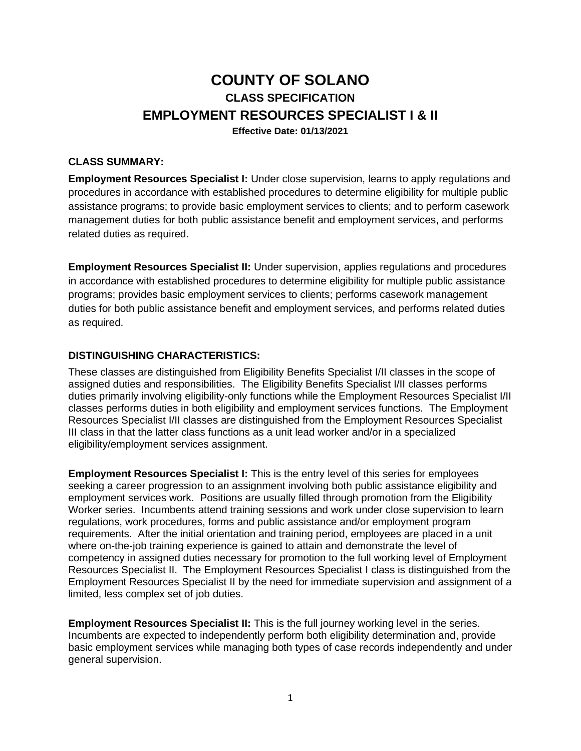# **COUNTY OF SOLANO CLASS SPECIFICATION EMPLOYMENT RESOURCES SPECIALIST I & II Effective Date: 01/13/2021**

#### **CLASS SUMMARY:**

**Employment Resources Specialist I:** Under close supervision, learns to apply regulations and procedures in accordance with established procedures to determine eligibility for multiple public assistance programs; to provide basic employment services to clients; and to perform casework management duties for both public assistance benefit and employment services, and performs related duties as required.

**Employment Resources Specialist II:** Under supervision, applies regulations and procedures in accordance with established procedures to determine eligibility for multiple public assistance programs; provides basic employment services to clients; performs casework management duties for both public assistance benefit and employment services, and performs related duties as required.

#### **DISTINGUISHING CHARACTERISTICS:**

These classes are distinguished from Eligibility Benefits Specialist I/II classes in the scope of assigned duties and responsibilities. The Eligibility Benefits Specialist I/II classes performs duties primarily involving eligibility-only functions while the Employment Resources Specialist I/II classes performs duties in both eligibility and employment services functions. The Employment Resources Specialist I/II classes are distinguished from the Employment Resources Specialist III class in that the latter class functions as a unit lead worker and/or in a specialized eligibility/employment services assignment.

**Employment Resources Specialist I:** This is the entry level of this series for employees seeking a career progression to an assignment involving both public assistance eligibility and employment services work. Positions are usually filled through promotion from the Eligibility Worker series. Incumbents attend training sessions and work under close supervision to learn regulations, work procedures, forms and public assistance and/or employment program requirements. After the initial orientation and training period, employees are placed in a unit where on-the-job training experience is gained to attain and demonstrate the level of competency in assigned duties necessary for promotion to the full working level of Employment Resources Specialist II. The Employment Resources Specialist I class is distinguished from the Employment Resources Specialist II by the need for immediate supervision and assignment of a limited, less complex set of job duties.

**Employment Resources Specialist II:** This is the full journey working level in the series. Incumbents are expected to independently perform both eligibility determination and, provide basic employment services while managing both types of case records independently and under general supervision.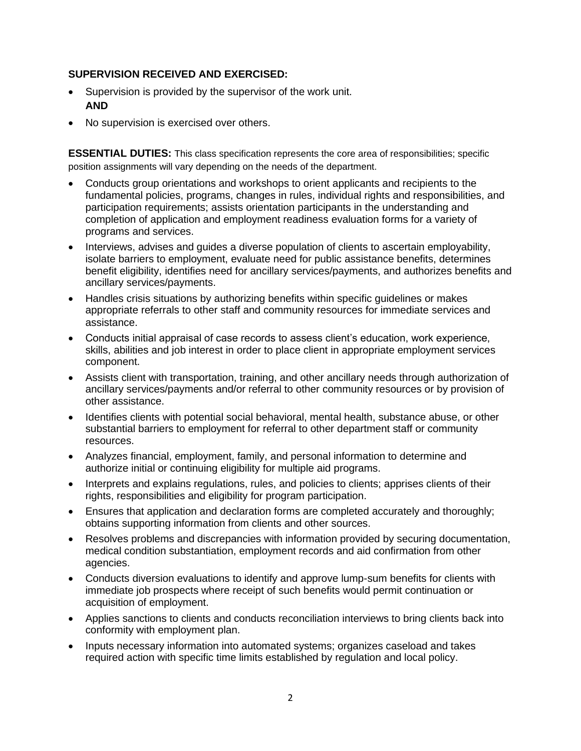### **SUPERVISION RECEIVED AND EXERCISED:**

- Supervision is provided by the supervisor of the work unit. **AND**
- No supervision is exercised over others.

**ESSENTIAL DUTIES:** This class specification represents the core area of responsibilities; specific position assignments will vary depending on the needs of the department.

- Conducts group orientations and workshops to orient applicants and recipients to the fundamental policies, programs, changes in rules, individual rights and responsibilities, and participation requirements; assists orientation participants in the understanding and completion of application and employment readiness evaluation forms for a variety of programs and services.
- Interviews, advises and guides a diverse population of clients to ascertain employability, isolate barriers to employment, evaluate need for public assistance benefits, determines benefit eligibility, identifies need for ancillary services/payments, and authorizes benefits and ancillary services/payments.
- Handles crisis situations by authorizing benefits within specific guidelines or makes appropriate referrals to other staff and community resources for immediate services and assistance.
- Conducts initial appraisal of case records to assess client's education, work experience, skills, abilities and job interest in order to place client in appropriate employment services component.
- Assists client with transportation, training, and other ancillary needs through authorization of ancillary services/payments and/or referral to other community resources or by provision of other assistance.
- Identifies clients with potential social behavioral, mental health, substance abuse, or other substantial barriers to employment for referral to other department staff or community resources.
- Analyzes financial, employment, family, and personal information to determine and authorize initial or continuing eligibility for multiple aid programs.
- Interprets and explains regulations, rules, and policies to clients; apprises clients of their rights, responsibilities and eligibility for program participation.
- Ensures that application and declaration forms are completed accurately and thoroughly; obtains supporting information from clients and other sources.
- Resolves problems and discrepancies with information provided by securing documentation, medical condition substantiation, employment records and aid confirmation from other agencies.
- Conducts diversion evaluations to identify and approve lump-sum benefits for clients with immediate job prospects where receipt of such benefits would permit continuation or acquisition of employment.
- Applies sanctions to clients and conducts reconciliation interviews to bring clients back into conformity with employment plan.
- Inputs necessary information into automated systems; organizes caseload and takes required action with specific time limits established by regulation and local policy.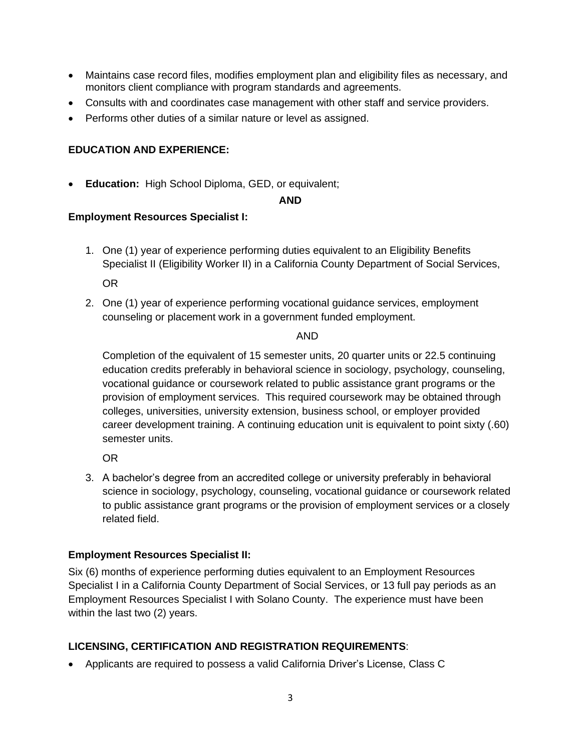- Maintains case record files, modifies employment plan and eligibility files as necessary, and monitors client compliance with program standards and agreements.
- Consults with and coordinates case management with other staff and service providers.
- Performs other duties of a similar nature or level as assigned.

# **EDUCATION AND EXPERIENCE:**

• **Education:** High School Diploma, GED, or equivalent;

#### **AND**

#### **Employment Resources Specialist I:**

- 1. One (1) year of experience performing duties equivalent to an Eligibility Benefits Specialist II (Eligibility Worker II) in a California County Department of Social Services, OR
- 2. One (1) year of experience performing vocational guidance services, employment counseling or placement work in a government funded employment.

#### AND

Completion of the equivalent of 15 semester units, 20 quarter units or 22.5 continuing education credits preferably in behavioral science in sociology, psychology, counseling, vocational guidance or coursework related to public assistance grant programs or the provision of employment services. This required coursework may be obtained through colleges, universities, university extension, business school, or employer provided career development training. A continuing education unit is equivalent to point sixty (.60) semester units.

OR

3. A bachelor's degree from an accredited college or university preferably in behavioral science in sociology, psychology, counseling, vocational guidance or coursework related to public assistance grant programs or the provision of employment services or a closely related field.

# **Employment Resources Specialist II:**

Six (6) months of experience performing duties equivalent to an Employment Resources Specialist I in a California County Department of Social Services, or 13 full pay periods as an Employment Resources Specialist I with Solano County. The experience must have been within the last two (2) years.

# **LICENSING, CERTIFICATION AND REGISTRATION REQUIREMENTS**:

• Applicants are required to possess a valid California Driver's License, Class C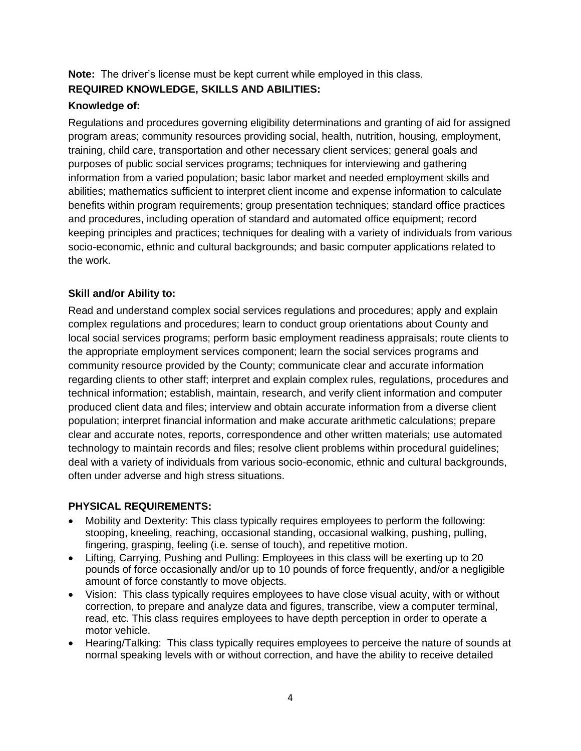# **Note:** The driver's license must be kept current while employed in this class. **REQUIRED KNOWLEDGE, SKILLS AND ABILITIES:**

# **Knowledge of:**

Regulations and procedures governing eligibility determinations and granting of aid for assigned program areas; community resources providing social, health, nutrition, housing, employment, training, child care, transportation and other necessary client services; general goals and purposes of public social services programs; techniques for interviewing and gathering information from a varied population; basic labor market and needed employment skills and abilities; mathematics sufficient to interpret client income and expense information to calculate benefits within program requirements; group presentation techniques; standard office practices and procedures, including operation of standard and automated office equipment; record keeping principles and practices; techniques for dealing with a variety of individuals from various socio-economic, ethnic and cultural backgrounds; and basic computer applications related to the work.

# **Skill and/or Ability to:**

Read and understand complex social services regulations and procedures; apply and explain complex regulations and procedures; learn to conduct group orientations about County and local social services programs; perform basic employment readiness appraisals; route clients to the appropriate employment services component; learn the social services programs and community resource provided by the County; communicate clear and accurate information regarding clients to other staff; interpret and explain complex rules, regulations, procedures and technical information; establish, maintain, research, and verify client information and computer produced client data and files; interview and obtain accurate information from a diverse client population; interpret financial information and make accurate arithmetic calculations; prepare clear and accurate notes, reports, correspondence and other written materials; use automated technology to maintain records and files; resolve client problems within procedural guidelines; deal with a variety of individuals from various socio-economic, ethnic and cultural backgrounds, often under adverse and high stress situations.

# **PHYSICAL REQUIREMENTS:**

- Mobility and Dexterity: This class typically requires employees to perform the following: stooping, kneeling, reaching, occasional standing, occasional walking, pushing, pulling, fingering, grasping, feeling (i.e. sense of touch), and repetitive motion.
- Lifting, Carrying, Pushing and Pulling: Employees in this class will be exerting up to 20 pounds of force occasionally and/or up to 10 pounds of force frequently, and/or a negligible amount of force constantly to move objects.
- Vision: This class typically requires employees to have close visual acuity, with or without correction, to prepare and analyze data and figures, transcribe, view a computer terminal, read, etc. This class requires employees to have depth perception in order to operate a motor vehicle.
- Hearing/Talking: This class typically requires employees to perceive the nature of sounds at normal speaking levels with or without correction, and have the ability to receive detailed